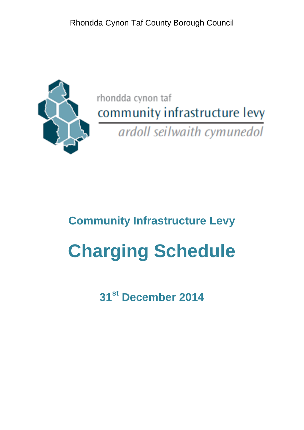Rhondda Cynon Taf County Borough Council



rhondda cynon taf community infrastructure levy ardoll seilwaith cymunedol

# **Community Infrastructure Levy**

# **Charging Schedule**

**31st December 2014**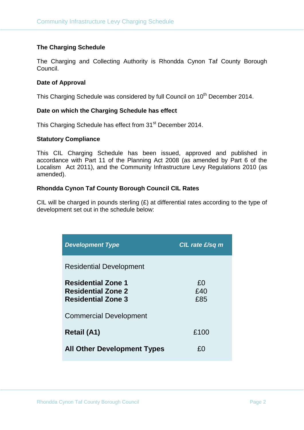## **The Charging Schedule**

The Charging and Collecting Authority is Rhondda Cynon Taf County Borough Council.

#### **Date of Approval**

This Charging Schedule was considered by full Council on 10<sup>th</sup> December 2014.

#### **Date on which the Charging Schedule has effect**

This Charging Schedule has effect from 31<sup>st</sup> December 2014.

#### **Statutory Compliance**

This CIL Charging Schedule has been issued, approved and published in accordance with Part 11 of the Planning Act 2008 (as amended by Part 6 of the Localism Act 2011), and the Community Infrastructure Levy Regulations 2010 (as amended).

## **Rhondda Cynon Taf County Borough Council CIL Rates**

CIL will be charged in pounds sterling  $(E)$  at differential rates according to the type of development set out in the schedule below:

| <b>Development Type</b>                                                             | $CIL$ rate $E/sq$ m |
|-------------------------------------------------------------------------------------|---------------------|
| <b>Residential Development</b>                                                      |                     |
| <b>Residential Zone 1</b><br><b>Residential Zone 2</b><br><b>Residential Zone 3</b> | £0<br>£40<br>£85    |
| <b>Commercial Development</b>                                                       |                     |
| Retail (A1)                                                                         | £100                |
| <b>All Other Development Types</b>                                                  | £Ω                  |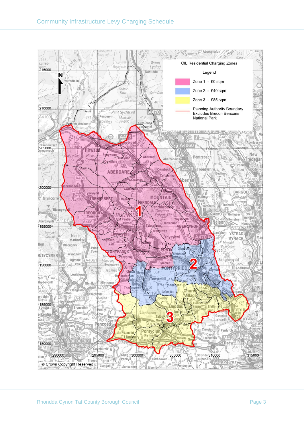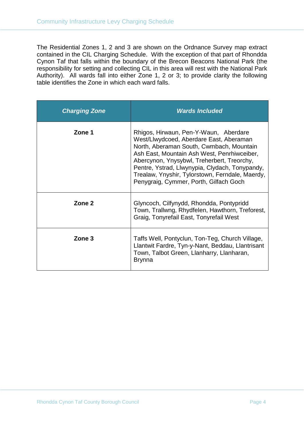The Residential Zones 1, 2 and 3 are shown on the Ordnance Survey map extract contained in the CIL Charging Schedule. With the exception of that part of Rhondda Cynon Taf that falls within the boundary of the Brecon Beacons National Park (the responsibility for setting and collecting CIL in this area will rest with the National Park Authority). All wards fall into either Zone 1, 2 or 3; to provide clarity the following table identifies the Zone in which each ward falls.

| <b>Charging Zone</b> | <b>Wards Included</b>                                                                                                                                                                                                                                                                                                                                                    |
|----------------------|--------------------------------------------------------------------------------------------------------------------------------------------------------------------------------------------------------------------------------------------------------------------------------------------------------------------------------------------------------------------------|
| Zone 1               | Rhigos, Hirwaun, Pen-Y-Waun, Aberdare<br>West/Llwydcoed, Aberdare East, Aberaman<br>North, Aberaman South, Cwmbach, Mountain<br>Ash East, Mountain Ash West, Penrhiwceiber,<br>Abercynon, Ynysybwl, Treherbert, Treorchy,<br>Pentre, Ystrad, Llwynypia, Clydach, Tonypandy,<br>Trealaw, Ynyshir, Tylorstown, Ferndale, Maerdy,<br>Penygraig, Cymmer, Porth, Gilfach Goch |
| Zone 2               | Glyncoch, Cilfynydd, Rhondda, Pontypridd<br>Town, Trallwng, Rhydfelen, Hawthorn, Treforest,<br>Graig, Tonyrefail East, Tonyrefail West                                                                                                                                                                                                                                   |
| Zone 3               | Taffs Well, Pontyclun, Ton-Teg, Church Village,<br>Llantwit Fardre, Tyn-y-Nant, Beddau, Llantrisant<br>Town, Talbot Green, Llanharry, Llanharan,<br><b>Brynna</b>                                                                                                                                                                                                        |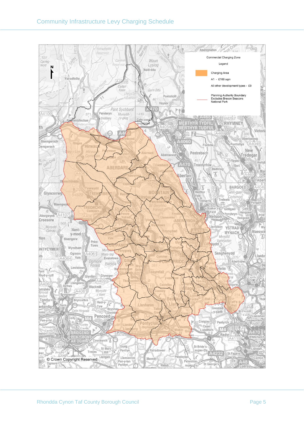